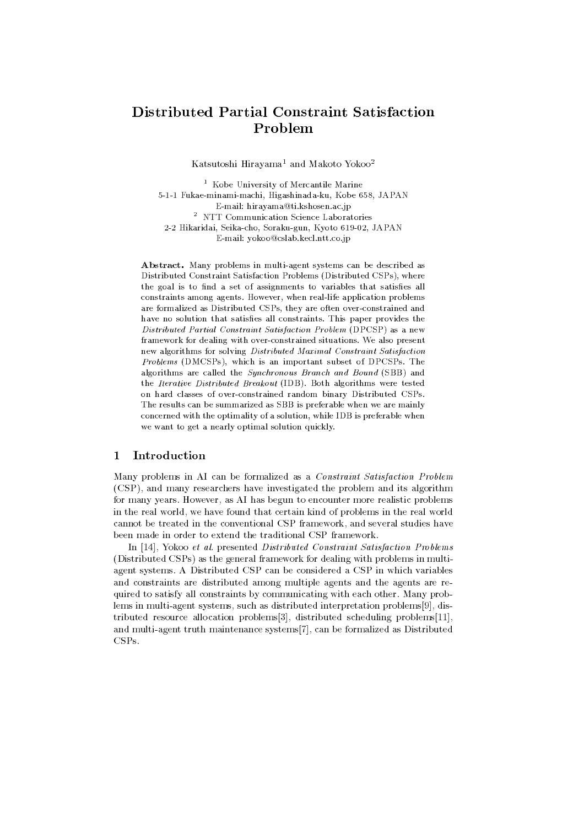# Distributed Partial Constraint Satisfaction Problem

Katsutoshi Hirayama<sup>1</sup> and Makoto Yokoo<sup>2</sup>

<sup>1</sup> Kobe University of Mercantile Marine 5-1-1 Fukae-minami-machi, Higashinada-ku, Kobe 658, JAPAN E-mail: hirayama@ti.kshosen.ac.jp <sup>2</sup> NTT Communication Science Laboratories 2-2 Hikaridai, Seika-cho, Soraku-gun, Kyoto 619-02, JAPAN E-mail: yokoo@cslab.kecl.ntt.co.jp

Abstract. Many problems in multi-agent systems can be described as Distributed Constraint Satisfaction Problems (Distributed CSPs), where the goal is to find a set of assignments to variables that satisfies all constraints among agents. However, when real-life application problems are formalized as Distributed CSPs, they are often over-constrained and have no solution that satisfies all constraints. This paper provides the Distributed Partial Constraint Satisfaction Problem (DPCSP) as a new framework for dealing with over-constrained situations. We also present new algorithms for solving Distributed Maximal Constraint Satisfaction Problems (DMCSPs), which is an important subset of DPCSPs. The algorithms are called the Synchronous Branch and Bound (SBB) and the Iterative Distributed Breakout (IDB). Both algorithms were tested on hard classes of over-constrained random binary Distributed CSPs. The results can be summarized as SBB is preferable when we are mainly concerned with the optimality of a solution, while IDB is preferable when we want to get a nearly optimal solution quickly.

# 1 Introduction

Many problems in AI can be formalized as a Constraint Satisfaction Problem (CSP), and many researchers have investigated the problem and its algorithm for many years. However, as AI has begun to encounter more realistic problems in the real world, we have found that certain kind of problems in the real world cannot be treated in the conventional CSP framework, and several studies have been made in order to extend the traditional CSP framework.

In [14], Yokoo et al. presented Distributed Constraint Satisfaction Problems (Distributed CSPs) as the general framework for dealing with problems in multiagent systems. A Distributed CSP can be considered a CSP in which variables and constraints are distributed among multiple agents and the agents are required to satisfy all constraints by communicating with each other. Many problems in multi-agent systems, such as distributed interpretation problems[9], distributed resource allocation problems[3], distributed scheduling problems[11], and multi-agent truth maintenance systems[7], can be formalized as Distributed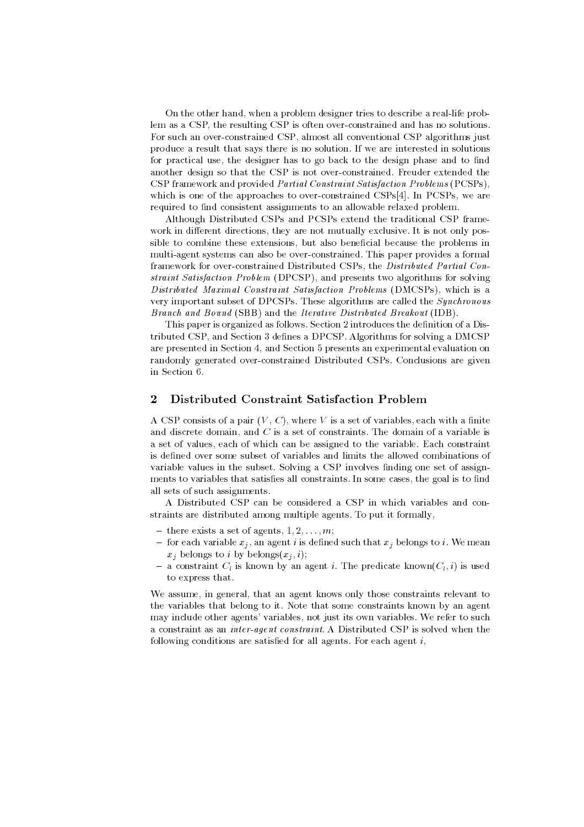On the other hand, when a problem designer tries to describe a real-life problem as a CSP, the resulting CSP is often over-constrained and has no solutions. For such an over-constrained CSP, almost all conventional CSP algorithms just produce a result that says there is no solution. If we are interested in solutions for practical use, the designer has to go back to the design phase and to find another design so that the CSP is not over-constrained. Freuder extended the CSP framework and provided Partial Constraint Satisfaction Problems (PCSPs), which is one of the approaches to over-constrained CSPs[4]. In PCSPs, we are required to find consistent assignments to an allowable relaxed problem.

Although Distributed CSPs and PCSPs extend the traditional CSP framework in different directions, they are not mutually exclusive. It is not only possible to combine these extensions, but also beneficial because the problems in multi-agent systems can also be over-constrained. This paper provides a formal framework for over-constrained Distributed CSPs, the Distributed Partial Con $s$  and  $s$  and  $s$  are problem (DPCs). The presents two algorithms for solving  $D$ istributed Maximal Construint Satisfaction Problems (DMCSPs), which is a very important subset of DPCSPs. These algorithms are called the Synchronous Branch and Bound (SBB) and the Iterative Distributed Breakout (IDB).

This paper is organized as follows. Section 2 introduces the definition of a Distributed CSP, and Section 3 defines a DPCSP. Algorithms for solving a DMCSP are presented in Section 4, and Section 5 presents an experimental evaluation on randomly generated over-constrained Distributed CSPs. Conclusions are given in Section 6.

## 2 Distributed Constraint Satisfaction Problem

A CSP consists of a pair  $(V, C)$ , where V is a set of variables, each with a finite and discrete domain, and <sup>C</sup> is a set of constraints. The domain of a variable is a set of values, each of which can be assigned to the variable. Each constraint is defined over some subset of variables and limits the allowed combinations of variable values in the subset. Solving a CSP involves finding one set of assignments to variables that satisfies all constraints. In some cases, the goal is to find all sets of such assignments. all sets of such assignments.

A Distributed CSP can be considered a CSP in which variables and constraints are distributed among multiple agents. To put it formally,

- $-$  there exists a set of agents,  $1, 2, \ldots, m;$
- for each variable  $x_j$ , an agent i is defined such that  $x_j$  belongs to i. We mean  $x_i$  belongs to i by belongs $(x_j, i)$ ;
- ${ }-$  a constraint  $C_l$  is known by an agent i. The predicate known $(C_l, i)$  is used to express that.

We assume, in general, that an agent knows only those constraints relevant to the variables that belong to it. Note that some constraints known by an agent may include other agents' variables, not just its own variables. We refer to such a constraint as an inter-agent constraint. A Distributed CSP is solved when the following conditions are satisfied for all agents. For each agent  $i$ ,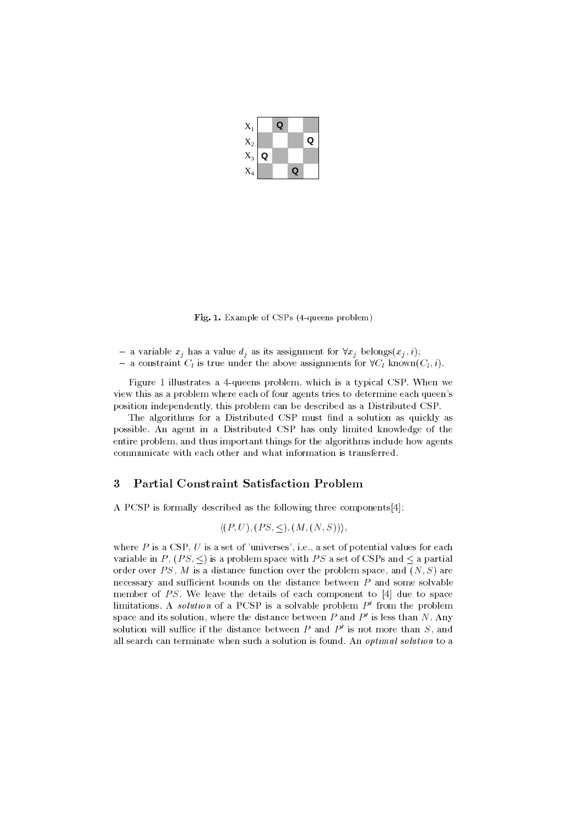| $X_1$          |   | $\bullet$ |   |   |
|----------------|---|-----------|---|---|
| $\mathbf{X}_2$ |   |           |   | Q |
| $X_3$          | Q |           |   |   |
| $\mathbf{X}_4$ |   |           | Q |   |

Fig. 1. Example of CSPs (4-queens problem)

- a variable  $x_j$  has a value  $d_j$  as its assignment for  $\forall x_j$  belongs $(x_j, i)$ ;
- ${ }-$  a constraint  $C_l$  is true under the above assignments for  $\forall C_l$  known $(C_l, i)$ .

Figure 1 illustrates a 4-queens problem, which is a typical CSP. When we view this as a problem where each of four agents tries to determine each queen's position independently, this problem can be described as a Distributed CSP.

The algorithms for a Distributed CSP must find a solution as quickly as possible. An agent in a Distributed CSP has only limited knowledge of the entire problem, and thus important things for the algorithms include how agents communicate with each other and what information is transferred.

# 3 Partial Constraint Satisfaction Problem

A PCSP is formally described as the following three components[4]:

$$
\langle (P,U),(PS,\leq),(M,(N,S))\rangle,
$$

where  $P$  is a CSP,  $U$  is a set of 'universes', i.e., a set of potential values for each variable in P,  $(PS, \leq)$  is a problem space with PS a set of CSPs and  $\leq$  a partial order over PS, M is a distance function over the problem space, and  $(N, S)$  are necessary and sufficient bounds on the distance between  $P$  and some solvable member of  $PS$ . We leave the details of each component to  $[4]$  due to space limitations. A *solution* of a PCSP is a solvable problem  $P'$  from the problem space and its solution, where the distance between  $P$  and  $P'$  is less than N. Any solution will suffice if the distance between  $P$  and  $P'$  is not more than  $S$ , and all search can terminate when such a solution is found. An optimal solution to a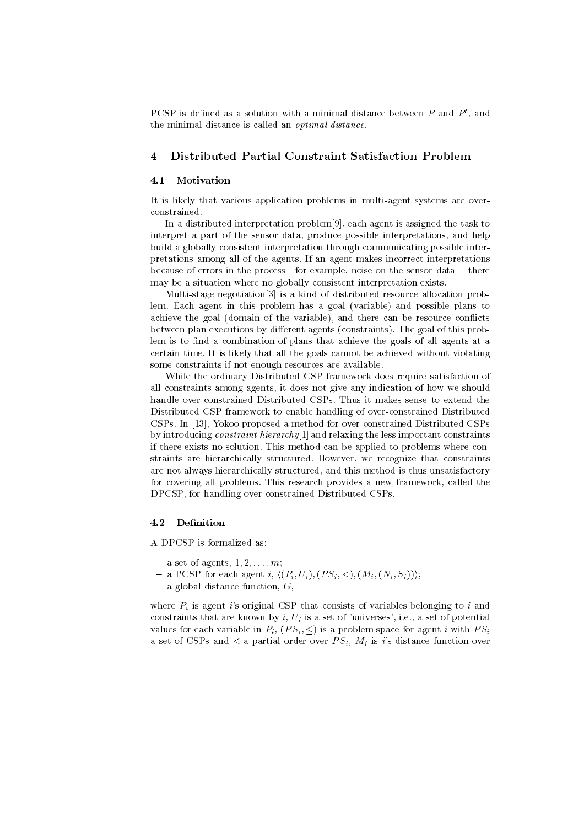PCSP is defined as a solution with a minimal distance between  $P$  and  $P'$ , and the minimal distance is called an optimal distance.

# 4 Distributed Partial Constraint Satisfaction Problem

#### $4.1$ Motivation

It is likely that various application problems in multi-agent systems are overconstrained.

In a distributed interpretation problem[9], each agent is assigned the task to interpret a part of the sensor data, produce possible interpretations, and help build a globally consistent interpretation through communicating possible interpretations among all of the agents. If an agent makes incorrect interpretations because of errors in the process—for example, noise on the sensor data— there may be a situation where no globally consistent interpretation exists.

Multi-stage negotiation[3] is a kind of distributed resource allocation problem. Each agent in this problem has a goal (variable) and possible plans to achieve the goal (domain of the variable), and there can be resource con
icts between plan executions by different agents (constraints). The goal of this problem is to find a combination of plans that achieve the goals of all agents at a certain time. It is likely that all the goals cannot be achieved without violating some constraints if not enough resources are available.

While the ordinary Distributed CSP framework does require satisfaction of all constraints among agents, it does not give any indication of how we should handle over-constrained Distributed CSPs. Thus it makes sense to extend the Distributed CSP framework to enable handling of over-constrained Distributed CSPs. In [13], Yokoo proposed a method for over-constrained Distributed CSPs by introducing constraint hierarchy[1] and relaxing the less important constraints if there exists no solution. This method can be applied to problems where constraints are hierarchically structured. However, we recognize that constraints are not always hierarchically structured, and this method is thus unsatisfactory for covering all problems. This research provides a new framework, called the DPCSP, for handling over-constrained Distributed CSPs.

A DPCSP is formalized as:

- $-$  a set of agents,  $1, 2, \ldots, m;$
- $=$  a PCSP for each agent i,  $\langle (P_i, U_i), (PS_i, \leq), (M_i, (N_i, S_i)) \rangle;$
- $=$  a global distance function,  $G$ ,

where  $P_i$  is agent i's original CSP that consists of variables belonging to i and constraints that are known by  $i, U_i$  is a set of 'universes', i.e., a set of potential values for each variable in  $P_i$ ,  $(PS_i, \leq)$  is a problem space for agent i with  $PS_i$ a set of CSPs and  $\leq$  a partial order over  $PS_i$ ,  $M_i$  is i's distance function over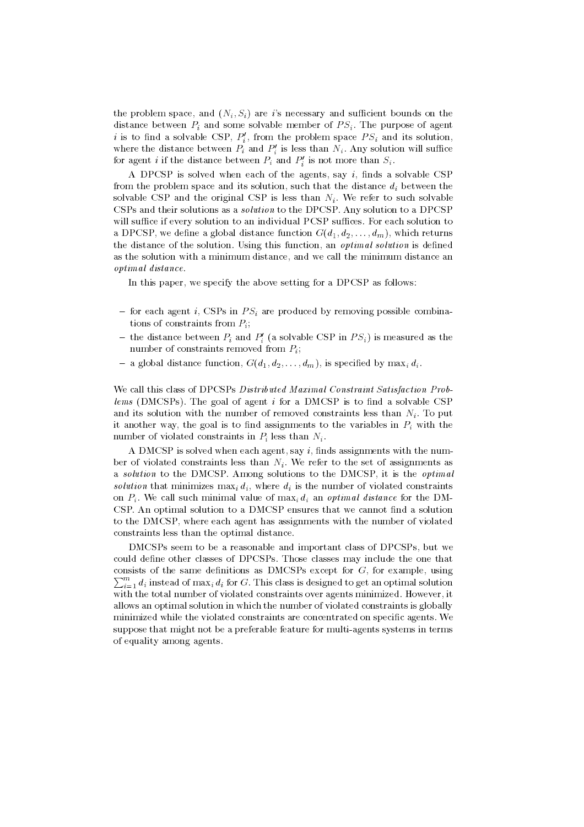the problem space, and  $(N_i, S_i)$  are i's necessary and sufficient bounds on the distance between  $P_i$  and some solvable member of  $PS_i$ . The purpose of agent i is to find a solvable CSP,  $P_i$ , from the problem space  $PS_i$  and its solution, where the distance between  $F_i$  and  $F_i$  is less than  $N_i$ . Any solution will suffice for agent  $i$  if the distance between  $P_i$  and  $P_i$  is not more than  $S_i$ .

A DPCSP is solved when each of the agents, say  $i$ , finds a solvable CSP from the problem space and its solution, such that the distance  $d_i$  between the solvable CSP and the original CSP is less than  $N_i$ . We refer to such solvable CSPs and their solutions as a solution to the DPCSP. Any solution to a DPCSP will suffice if every solution to an individual PCSP suffices. For each solution to a DPCSP, we define a global distance function  $G(d_1, d_2, \ldots, d_m)$ , which returns the distance of the solution. Using this function, an *optimal solution* is defined as the solution with a minimum distance, and we call the minimum distance an optimal distance.

In this paper, we specify the above setting for a DPCSP as follows:

- ${f}$  for each agent i, CSPs in  $PS_i$  are produced by removing possible combinations of constraints from  $P_i$ ;
- $-$  the distance between  $P_i$  and  $P_i$  (a solvable CSP in  $PS_i$ ) is measured as the number of constraints removed from  $P_i$ ;
- a global distance function,  $G(d_1, d_2, \ldots, d_m)$ , is specified by max<sub>i</sub>  $d_i$ .

We call this class of DPCSPs Distributed Maximal Constraint Satisfaction Prob $l_{\rm{max}}$  (DMCSPs). The goal of agent  $l$  for a DMCSP is to multiple a solvable  $\sim$ and its solution with the number of removed constraints less than  $N_i$ . To put it another way, the goal is to find assignments to the variables in  $P_i$  with the number of violated constraints in  $P_i$  less than  $N_i$ .

A DMCSP is solved when each agent, say  $i$ , finds assignments with the number of violated constraints less than  $N_i$ . We refer to the set of assignments as a solution to the DMCSP. Among solutions to the DMCSP, it is the optimal  $\sim$  colution that minimizes many  $u_l$ , where  $u_l$  is the number of violated constraints on  $P_i$ . We call such minimal value of  $\max_i d_i$  an *optimal distance* for the DM-CSP. An optimal solution to a DMCSP ensures that we cannot find a solution to the DMCSP, where each agent has assignments with the number of violated constraints less than the optimal distance.

DMCSPs seem to be a reasonable and important class of DPCSPs, but we could define other classes of DPCSPs. Those classes may include the one that consists of the same denitions as DMCSPs except for G, for example, using  $\sum_{i=1}^m d_i$  instead of max $_i$   $d_i$  for  $G.$  This class is designed to get an optimal solution with the total number of violated constraints over agents minimized. However, it allows an optimal solution in which the number of violated constraints is globally minimized while the violated constraints are concentrated on specic agents. We suppose that might not be a preferable feature for multi-agents systems in terms of equality among agents.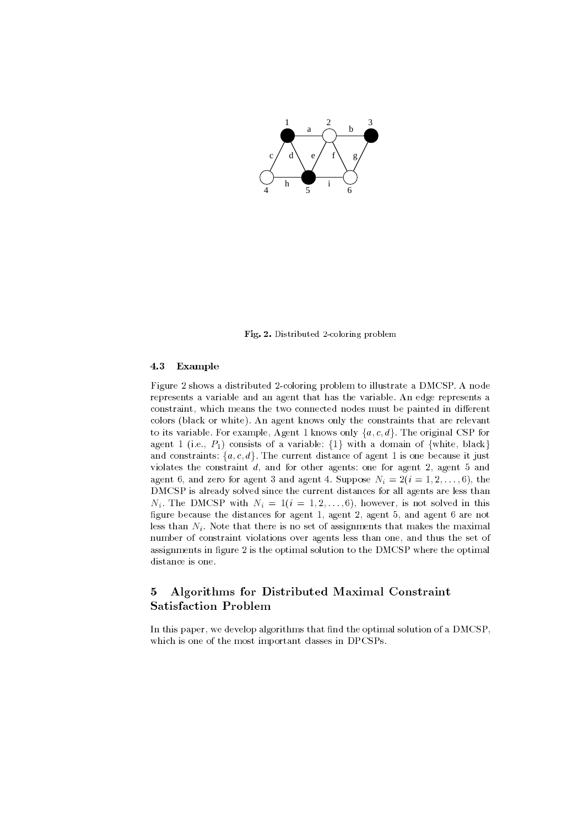

Fig. 2. Distributed 2-coloring problem

#### 4.3 Example

Figure 2 shows a distributed 2-coloring problem to illustrate a DMCSP. A node represents a variable and an agent that has the variable. An edge represents a constraint, which means the two connected nodes must be painted in different colors (black or white). An agent knows only the constraints that are relevant to its variable. For example, Agent 1 knows only  $\{a, c, d\}$ . The original CSP for agent 1 (i.e.,  $P_1$ ) consists of a variable:  $\{1\}$  with a domain of  $\{white, black\}$ and constraints:  $\{a, c, d\}$ . The current distance of agent 1 is one because it just violates the constraint d, and for other agents: one for agent 2, agent 5 and agent 6, and zero for agent 3 and agent 4. Suppose  $N_i = 2(i = 1, 2, \ldots, 6)$ , the DMCSP is already solved since the current distances for all agents are less than  $N_i$ . The DMCSP with  $N_i = 1(i = 1, 2, \ldots, 6)$ , however, is not solved in this figure because the distances for agent 1, agent 2, agent 5, and agent 6 are not less than  $N_i$ . Note that there is no set of assignments that makes the maximal number of constraint violations over agents less than one, and thus the set of assignments in figure 2 is the optimal solution to the DMCSP where the optimal distance is one.

# 5 Algorithms for Distributed Maximal Constraint Satisfaction Problem

In this paper, we develop algorithms that find the optimal solution of a DMCSP, which is one of the most important classes in DPCSPs.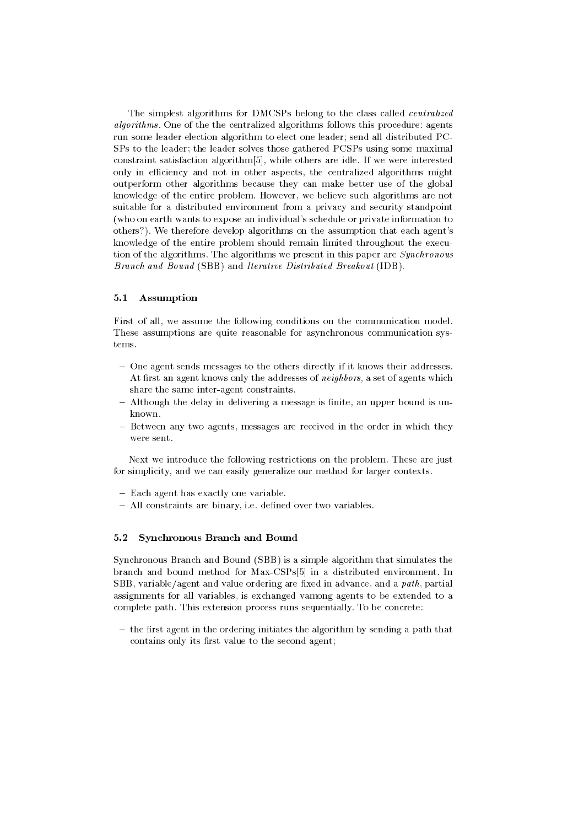The simplest algorithms for DMCSPs belong to the class called centralized algorithms. One of the the centralized algorithms follows this procedure: agents run some leader election algorithm to elect one leader; send all distributed PC-SPs to the leader; the leader solves those gathered PCSPs using some maximal constraint satisfaction algorithm[5], while others are idle. If we were interested only in efficiency and not in other aspects, the centralized algorithms might outperform other algorithms because they can make better use of the global knowledge of the entire problem. However, we believe such algorithms are not suitable for a distributed environment from a privacy and security standpoint (who on earth wants to expose an individual's schedule or private information to others?). We therefore develop algorithms on the assumption that each agent's knowledge of the entire problem should remain limited throughout the execution of the algorithms. The algorithms we present in this paper are Synchronous Branch and Bound (SBB) and Iterative Distributed Breakout (IDB).

#### 5.1 Assumption

First of all, we assume the following conditions on the communication model. These assumptions are quite reasonable for asynchronous communication systems

- { One agent sends messages to the others directly if it knows their addresses. At first an agent knows only the addresses of neighbors, a set of agents which share the same inter-agent constraints.
- Although the delay in delivering a message is finite, an upper bound is unknown.
- ${\rm -}$  Between any two agents, messages are received in the order in which they were sent.

Next we introduce the following restrictions on the problem. These are just for simplicity, and we can easily generalize our method for larger contexts.

- $=$  Each agent has exactly one variable.
- All constraints are binary, i.e. defined over two variables.

#### 5.2 Synchronous Branch and Bound

Synchronous Branch and Bound (SBB) is a simple algorithm that simulates the branch and bound method for Max-CSPs[5] in a distributed environment. In SBB, variable/agent and value ordering are fixed in advance, and a  $path$ , partial assignments for all variables, is exchanged vamong agents to be extended to a complete path. This extension process runs sequentially. To be concrete:

 ${\rm -}$  the first agent in the ordering initiates the algorithm by sending a path that contains only its first value to the second agent;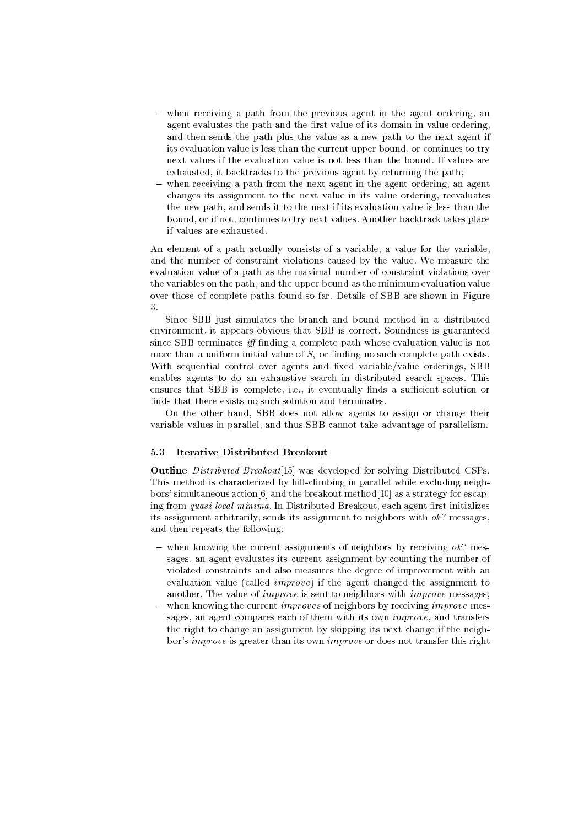- when receiving a path from the previous agent in the agent ordering, an agent evaluates the path and the first value of its domain in value ordering, and then sends the path plus the value as a new path to the next agent if its evaluation value is less than the current upper bound, or continues to try next values if the evaluation value is not less than the bound. If values are exhausted, it backtracks to the previous agent by returning the path;
- ${\bf -}$  when receiving a path from the next agent in the agent ordering, an agent changes its assignment to the next value in its value ordering, reevaluates the new path, and sends it to the next if its evaluation value is less than the bound, or if not, continues to try next values. Another backtrack takes place if values are exhausted.

An element of a path actually consists of a variable, a value for the variable, and the number of constraint violations caused by the value. We measure the evaluation value of a path as the maximal number of constraint violations over the variables on the path, and the upper bound as the minimum evaluation value over those of complete paths found so far. Details of SBB are shown in Figure

Since SBB just simulates the branch and bound method in a distributed environment, it appears obvious that SBB is correct. Soundness is guaranteed since SBB terminates *iff* finding a complete path whose evaluation value is not more than a uniform initial value of  $S_i$  or finding no such complete path exists. With sequential control over agents and fixed variable/value orderings, SBB enables agents to do an exhaustive search in distributed search spaces. This ensures that SBB is complete, i.e., it eventually finds a sufficient solution or finds that there exists no such solution and terminates.

On the other hand, SBB does not allow agents to assign or change their variable values in parallel, and thus SBB cannot take advantage of parallelism.

# 5.3 Iterative Distributed Breakout

Outline Distributed Breakout[15] was developed for solving Distributed CSPs. This method is characterized by hill-climbing in parallel while excluding neighbors' simultaneous action[6] and the breakout method[10] as a strategy for escaping from quasi-local-minima. In Distributed Breakout, each agent first initializes its assignment arbitrarily, sends its assignment to neighbors with ok? messages, and then repeats the following:

- $-$  when knowing the current assignments of neighbors by receiving  $ok$ ? messages, an agent evaluates its current assignment by counting the number of violated constraints and also measures the degree of improvement with an evaluation value (called improve) if the agent changed the assignment to another. The value of *improve* is sent to neighbors with *improve* messages;
- $-$  when knowing the current *improves* of neighbors by receiving *improve* messages, an agent compares each of them with its own *improve*, and transfers the right to change an assignment by skipping its next change if the neighbor's improve is greater than its own improve or does not transfer this right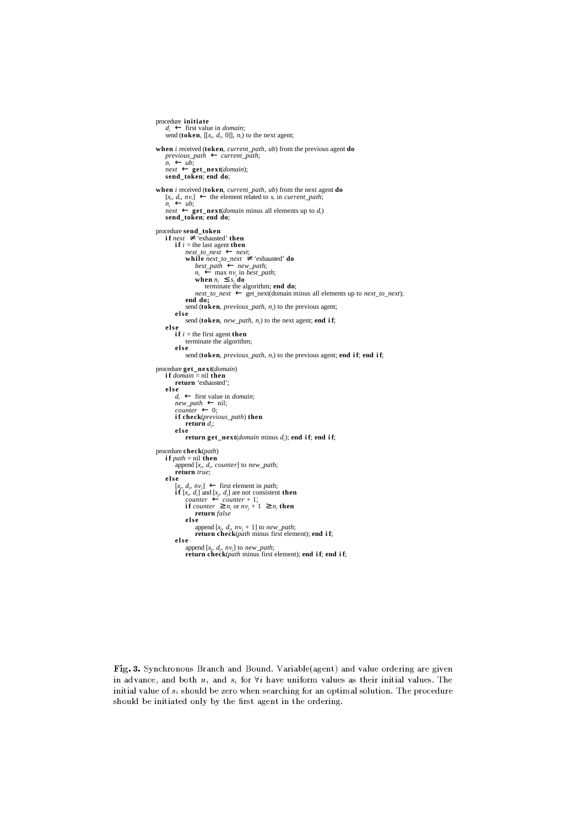```
procedure initiate<br>d_i \leftarrow first value in domain:
       d_i<sup>d_i</sup> \cdot first value in domain;<br>send (token, [[x<sub>i</sub>, d<sub>i</sub>, 0]], n<sub>i</sub>) to the next agent;
 when i received (token, current_path, ub) from the previous agent do
      previous_path \leftarrow current_path; n_i \leftarrow ub;<br>n_i \leftarrow ub;<br>next \leftarrow get_next(domain);
       send_token; end do;
 when i received (token, current_path, ub) from the next agent do
      \begin{array}{l}\n\text{(}\bar{x}, \bar{d}, \bar{n}v_i\text{)} \leftarrow \text{the element related to } x_i \text{ in current\_path}; \\
\bar{n}_i \leftarrow \bar{u}b; \\
\bar{n}_i \leftarrow \text{up} \cdot \text{sech} \left( \bar{d} \right) \text{ in } \bar{u} \text{ in } \bar{u} \text{ in } \bar{u} \right) \text{ in } \bar{u} \text{ in } \bar{u} \text{ in } \bar{u} \text{ in } \bar{u} \text{ in } \bar{u} \text{ in } \bar{u} \text{ in } \bar{u} \text{ in } \bar{u} \text{ in } \barsend_token; end do;
procedure send_token
        if next ≠ \neq exhausted' then<br>if i = the last agent then
                      next_to_next \leftarrow next;<br>
while next_to_next \neq 'exhausted' do<br>
best_path \leftarrow new_path;<br>
n_i \leftarrow \max n v_j in best_path;<br>
when n_i \leq s_i do<br>
terminate the algorithm; end do;<br>
next_to_next \leftarrow get_next(domain minus
                      end do;
send (token, previous_path, ni) to the previous agent;
             else
                     send (\mathbf{token}, \mathit{new\_path}, \mathit{n_i}) to the next agent; end if;
       else
             if i = the first agent then
                     terminate the algorithm;
             else
                      send (token, previous_path, ni
) to the previous agent; end i f; end i f;
procedure get_next(domain)
       i f domain = nil then
             return 'exhausted';
       else<br>d_i \leftarrow first value in domain;
              di ← first value in domain; new_path ← nil; counter ← 0;
i f check(previous_path) then
              return di
; else
                    return get_next(domain minus di); end i f; end i f;
 procedure check(path)
i f path = nil then
        append [xi
, di, counter] to new_path; return true; else
              [x_i, d_j, nv_j] ← first element in path;<br>
if [x_i, d_i] and [x_j, d_j] are not consistent then<br>
counter ← counter + 1;
                      if counter \ge n_i or nv_j + 1 \ge n_i then<br>return falseelse
              append [x_i, d_j, nv_j + 1] to new_path;<br>
return check(path minus first element); end if;<br>
else
                      append [xj, dj, nvj] to new_path;
return check(path minus first element); end i f; end i f;
```
Fig. 3. Synchronous Branch and Bound. Variable(agent) and value ordering are given in advance, and both  $n_i$  and  $s_i$  for  $\forall i$  have uniform values as their initial values. The initial value of  $s_i$  should be zero when searching for an optimal solution. The procedure should be initiated only by the first agent in the ordering.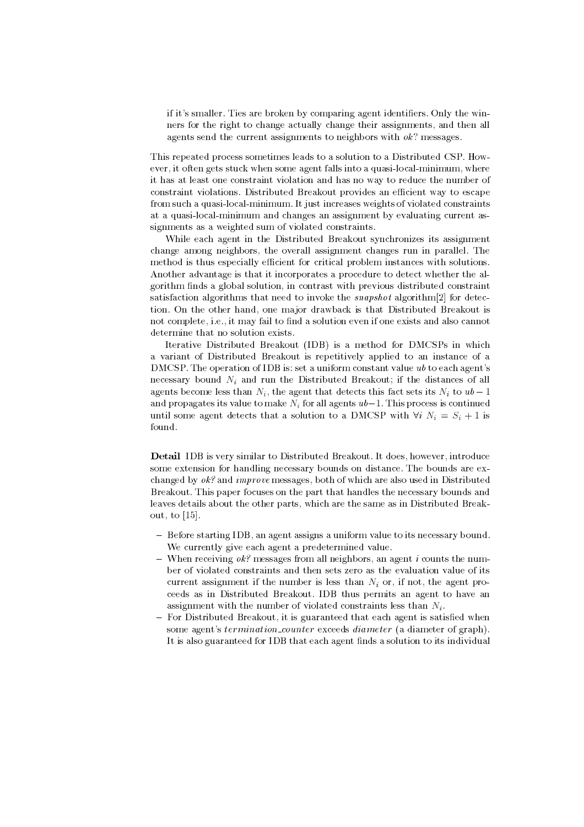if it's smaller. Ties are broken by comparing agent identiers. Only the winners for the right to change actually change their assignments, and then all agents send the current assignments to neighbors with ok? messages.

This repeated process sometimes leads to a solution to a Distributed CSP. However, it often gets stuck when some agent falls into a quasi-local-minimum, where it has at least one constraint violation and has no way to reduce the number of constraint violations. Distributed Breakout provides an efficient way to escape from such a quasi-local-minimum. It just increases weights of violated constraints at a quasi-local-minimum and changes an assignment by evaluating current assignments as a weighted sum of violated constraints.

While each agent in the Distributed Breakout synchronizes its assignment change among neighbors, the overall assignment changes run in parallel. The method is thus especially efficient for critical problem instances with solutions. Another advantage is that it incorporates a procedure to detect whether the algorithm nds a global solution, in contrast with previous distributed constraint satisfaction algorithms that need to invoke the snapshot algorithm[2] for detection. On the other hand, one major drawback is that Distributed Breakout is not complete, i.e., it may fail to find a solution even if one exists and also cannot determine that no solution exists.

Iterative Distributed Breakout (IDB) is a method for DMCSPs in which a variant of Distributed Breakout is repetitively applied to an instance of a DMCSP. The operation of IDB is: set a uniform constant value  $ub$  to each agent's necessary bound  $N_i$  and run the Distributed Breakout; if the distances of all agents become less than  $N_i$ , the agent that detects this fact sets its  $N_i$  to  $ub - 1$ and propagates its value to make  $N_i$  for all agents  $ub-1$ . This process is continued until some agent detects that a solution to a DMCSP with  $\forall i$   $N_i = S_i + 1$  is

Detail IDB is very similar to Distributed Breakout. It does, however, introduce some extension for handling necessary bounds on distance. The bounds are exchanged by ok? and improve messages, both of which are also used in Distributed Breakout. This paper focuses on the part that handles the necessary bounds and leaves details about the other parts, which are the same as in Distributed Breakout, to [15].

- { Before starting IDB, an agent assigns a uniform value to its necessary bound. We currently give each agent a predetermined value.
- ${\bf -}$  When receiving ok? messages from all neighbors, an agent i counts the number of violated constraints and then sets zero as the evaluation value of its current assignment if the number is less than  $N_i$  or, if not, the agent proceeds as in Distributed Breakout. IDB thus permits an agent to have an assignment with the number of violated constraints less than  $N_i$ .
- $-$  For Distributed Breakout, it is guaranteed that each agent is satisfied when some agent's termination counter exceeds diameter (a diameter of graph). It is also guaranteed for IDB that each agent finds a solution to its individual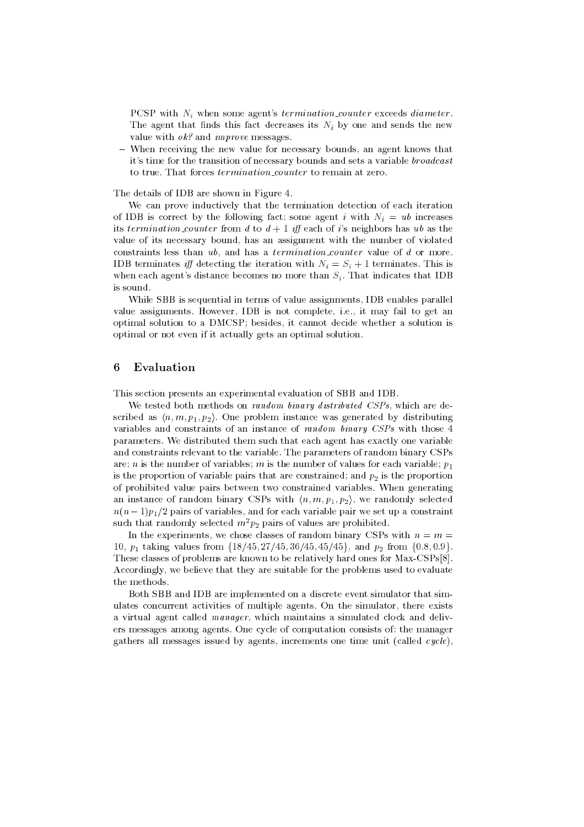PCSP with  $N_i$  when some agent's termination counter exceeds diameter. The agent that finds this fact decreases its  $N_i$  by one and sends the new value with  $\partial k^2$  and *improve* messages.

- When receiving the new value for necessary bounds, an agent knows that it's time for the transition of necessary bounds and sets a variable broadcast to true. That forces termination counter to remain at zero.

The details of IDB are shown in Figure 4.

We can prove inductively that the termination detection of each iteration of IDB is correct by the following fact: some agent i with  $N_i = ub$  increases its termination counter from d to  $d + 1$  iff each of i's neighbors has ub as the value of its necessary bound, has an assignment with the number of violated constraints less than ub, and has a termination counter value of <sup>d</sup> or more. IDB terminates iff detecting the iteration with  $N_i = S_i + 1$  terminates. This is when each agent's distance becomes no more than  $S_i$ . That indicates that IDB is sound.

While SBB is sequential in terms of value assignments, IDB enables parallel value assignments. However, IDB is not complete, i.e., it may fail to get an optimal solution to a DMCSP; besides, it cannot decide whether a solution is optimal or not even if it actually gets an optimal solution.

#### **Evaluation** 6

This section presents an experimental evaluation of SBB and IDB.

We tested both methods on *random binary distributed CSPs*, which are described as  $\langle n, m, p_1, p_2 \rangle$ . One problem instance was generated by distributing variables and constraints of an instance of random binary CSPs with those 4 parameters. We distributed them such that each agent has exactly one variable and constraints relevant to the variable. The parameters of random binary CSPs are: n is the number of variables; m is the number of values for each variable;  $p_1$ is the proportion of variable pairs that are constrained; and  $p_2$  is the proportion of prohibited value pairs between two constrained variables. When generating an instance of random binary CSPs with  $\langle n,m, p_1, p_2 \rangle$ , we randomly selected  $n(n-1)p_1/2$  pairs of variables, and for each variable pair we set up a constraint such that randomly selected  $m^2p_2$  pairs of values are prohibited.

In the experiments, we chose classes of random binary CSPs with  $n = m =$ 10,  $p_1$  taking values from  $\{18/45, 27/45, 36/45, 45/45\}$ , and  $p_2$  from  $\{0.8, 0.9\}$ . These classes of problems are known to be relatively hard ones for Max-CSPs[8]. Accordingly, we believe that they are suitable for the problems used to evaluate the methods.

Both SBB and IDB are implemented on a discrete event simulator that simulates concurrent activities of multiple agents. On the simulator, there exists a virtual agent called manager, which maintains a simulated clock and delivers messages among agents. One cycle of computation consists of: the manager gathers all messages issued by agents, increments one time unit (called  $cycle$ ),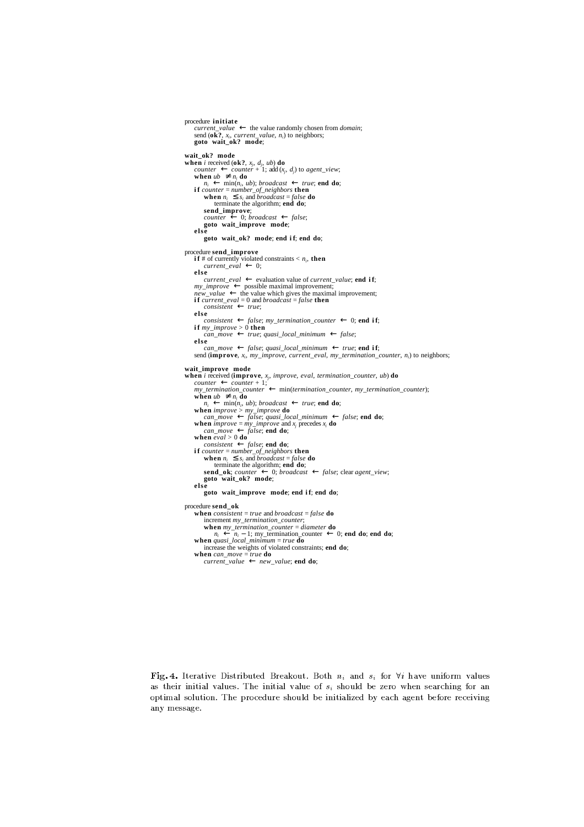```
procedure initiate
      current_value \leftarrow the value randomly chosen from domain; send (ok?, x<sub>i</sub>, current_value, n<sub>i</sub>) to neighbors;
       goto wait_ok? mode;
wait_ok? mode
 when i received (ok?, x_j, d_j, ub) do counter \leftarrow counter + 1; add (x_j, d_ji b \forall n<sub>i</sub> \in \in \inftynin(n<sub>i</sub>, ub); broadcast \leftarrow true; end do; if counter = number_of_neighbors then
            when n_i \leq s_i and broadcast = false do terminate the algorithm; end do;
            send_improve;<br>
counter \leftarrow 0; broadcast \leftarrow false;
      counter ← 0; broadcast ← false; goto wait_improve mode; else
            goto wait_ok? mode; end i f; end do;
procedure send_improve
       if # of currently violated constraints < n_i, then current\_eval \leftarrow 0;
       else
       current_eval ← evaluation value of current_value; end if;<br>
my_improve ← possible maximal improvement;<br>
new_value ← the value which gives the maximal improvement;
      i f current_eval = 0 and broadcast = false then
             consistent ← true;
      else
       consistent ← false; my_termination_counter ← 0; end if;<br>
if my\_improve > 0 then<br>
can\_move \leftarrow true; quasi\_local\_minimum \leftarrow false;
      else
       can_move \leftarrow false; quasi\_local\_minimum \leftarrow true; end if;<br>
send (improve, x<sub>i</sub>, my_improve, current_eval, my_termination_counter, n<sub>i</sub>) to neighbors;
 wait_improve mode
when i received (improve, xj, improve, eval, termination_counter, ub) do
      counter \leftarrow counter + 1;my_termination_counter ← min(termination_counter, my_termination_counter);<br>
when ub \neq n_j do
       when ub \neq n_i do<br>
n_i \leftarrow min(n_i, ub); broadcast \leftarrow true; end do;<br>
when improve > my\_improve do<br>
can\_move \leftarrow false; quasi\_local\_minimum \leftarrow false; end do;<br>
can\_move \leftarrow false; end x_j precedes x_i do<br>
can\_move \leftarrow false; end do;<br>
when eval > 0 do
       consistent ← false; end do;<br>
if counter = number_of_neighbors then<br>
when n_i ≤ s_i and broadcast = false do
      terminate the algorithm; end do;<br>
send_ok; counter \leftarrow 0; broadcast \leftarrow false; clear agent_view;<br>
goto wait_ok? mode;
            goto wait_improve mode; end i f; end do;
procedure send_ok
       when consistent = true and broadcast = false do
      when my\_fermination\_counter,<br>
when my\_fermination\_counter = diameter do<br>
n_i \leftarrow n_i - 1; my_termination_counter \leftarrow 0; end do; end do;<br>
when quasi\_local\_minimum = true do
       increase the weights of violated constraints; end do;
when can_move = true do
current_value ← new_value; end do;
```
Fig. 4. Iterative Distributed Breakout. Both  $n_i$  and  $s_i$  for  $\forall i$  have uniform values as their initial values. The initial value of  $s_i$  should be zero when searching for an optimal solution. The procedure should be initialized by each agent before receiving any message.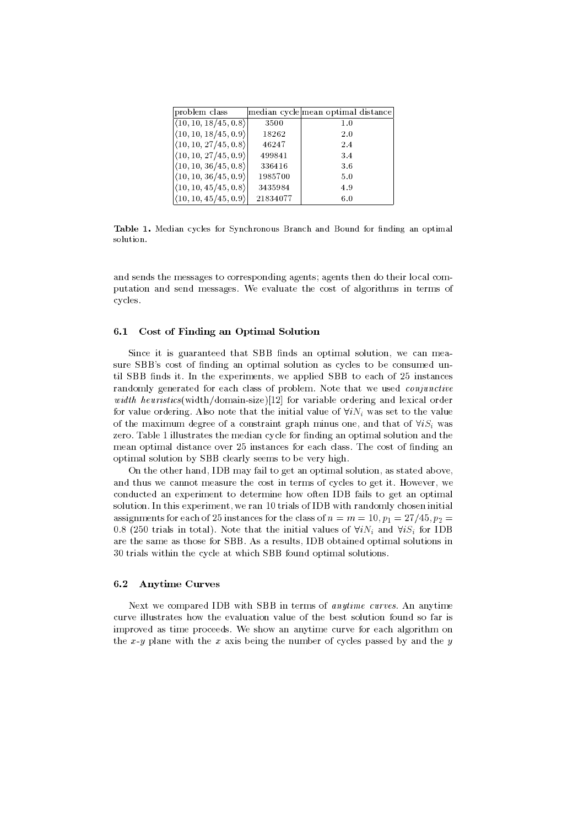| problem class                                    |          | median cycle mean optimal distance |
|--------------------------------------------------|----------|------------------------------------|
| (10, 10, 18/45, 0.8)                             | 3500     | 1.0                                |
| (10, 10, 18/45, 0.9)                             | 18262    | 2.0                                |
| $\vert \langle 10, 10, 27/45, 0.8 \rangle \vert$ | 46247    | 2.4                                |
| (10, 10, 27/45, 0.9)                             | 499841   | 3.4                                |
| (10, 10, 36/45, 0.8)                             | 336416   | 3.6                                |
| (10, 10, 36/45, 0.9)                             | 1985700  | 5.0                                |
| (10, 10, 45/45, 0.8)                             | 3435984  | 4.9                                |
| (10, 10, 45/45, 0.9)                             | 21834077 | 6.0                                |

Table 1. Median cycles for Synchronous Branch and Bound for finding an optimal solution.

and sends the messages to corresponding agents; agents then do their local computation and send messages. We evaluate the cost of algorithms in terms of cycles.

## 6.1 Cost of Finding an Optimal Solution

Since it is guaranteed that SBB finds an optimal solution, we can measure SBB's cost of finding an optimal solution as cycles to be consumed until SBB finds it. In the experiments, we applied SBB to each of 25 instances randomly generated for each class of problem. Note that we used *conjunctive* width heuristics(width/domain-size)[12] for variable ordering and lexical order for value ordering. Also note that the initial value of  $\forall i \, N_i$  was set to the value of the maximum degree of a constraint graph minus one, and that of  $\forall iS_i$  was zero. Table 1 illustrates the median cycle for finding an optimal solution and the mean optimal distance over 25 instances for each class. The cost of nding an optimal solution by SBB clearly seems to be very high.

On the other hand, IDB may fail to get an optimal solution, as stated above, and thus we cannot measure the cost in terms of cycles to get it. However, we conducted an experiment to determine how often IDB fails to get an optimal solution. In this experiment, we ran 10 trials of IDB with randomly chosen initial assignments for each of 25 instances for the class of  $n = m = 10, p_1 = 27/45, p_2 =$ 0.8 (250 trials in total). Note that the initial values of  $\forall i N_i$  and  $\forall i S_i$  for IDB are the same as those for SBB. As a results, IDB obtained optimal solutions in 30 trials within the cycle at which SBB found optimal solutions.

## 6.2 Anytime Curves

Next we compared IDB with SBB in terms of *anytime curves*. An anytime curve illustrates how the evaluation value of the best solution found so far is improved as time proceeds. We show an anytime curve for each algorithm on the x-y plane with the x axis being the number of cycles passed by and the y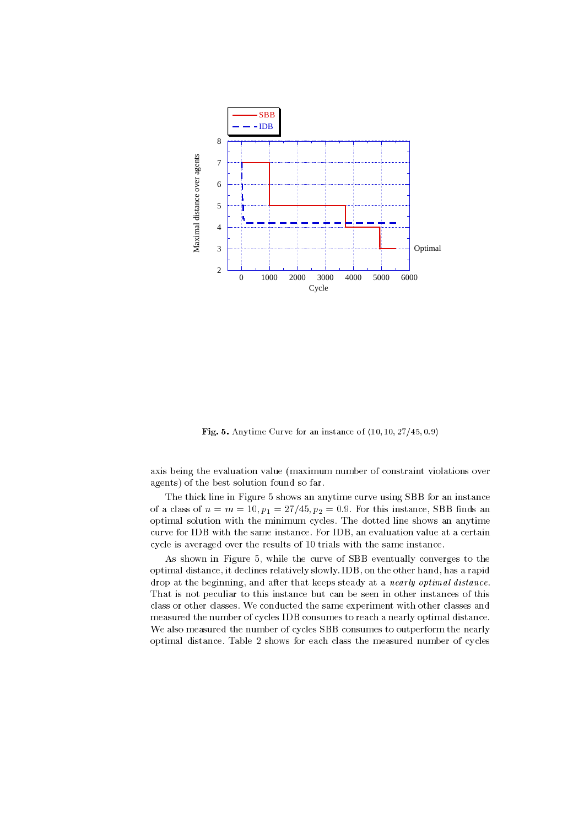

Fig. 5. Anytime Curve for an instance of  $\langle 10, 10, 27/45, 0.9 \rangle$ 

axis being the evaluation value (maximum number of constraint violations over agents) of the best solution found so far.

The thick line in Figure 5 shows an anytime curve using SBB for an instance of a class of  $n = m = 10, p_1 = 27/45, p_2 = 0.9$ . For this instance, SBB finds an optimal solution with the minimum cycles. The dotted line shows an anytime curve for IDB with the same instance. For IDB, an evaluation value at a certain cycle is averaged over the results of 10 trials with the same instance.

As shown in Figure 5, while the curve of SBB eventually converges to the optimal distance, it declines relatively slowly. IDB, on the other hand, has a rapid drop at the beginning, and after that keeps steady at a nearly optimal distance. That is not peculiar to this instance but can be seen in other instances of this class or other classes. We conducted the same experiment with other classes and measured the number of cycles IDB consumes to reach a nearly optimal distance. We also measured the number of cycles SBB consumes to outperform the nearly optimal distance. Table 2 shows for each class the measured number of cycles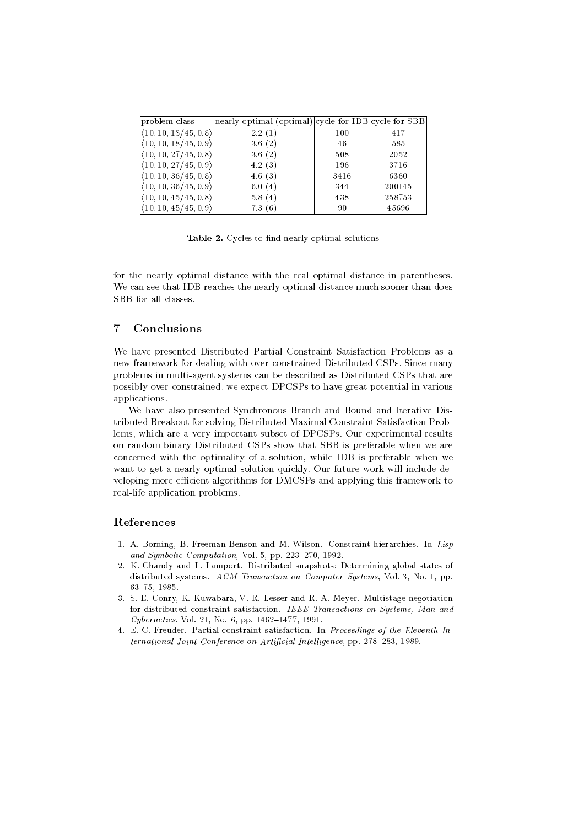| problem class                                                | nearly-optimal (optimal) cycle for IDB cycle for SBB |      |        |
|--------------------------------------------------------------|------------------------------------------------------|------|--------|
| (10, 10, 18/45, 0.8)                                         | 2.2(1)                                               | 100  | 417    |
| (10, 10, 18/45, 0.9)                                         | 3.6 $(2)$                                            | 46   | 585    |
| $\left[ \langle 10, 10, 27/45, 0.8 \rangle \right]$          | 3.6 $(2)$                                            | 508  | 2052   |
| (10, 10, 27/45, 0.9)                                         | 4.2(3)                                               | 196  | 3716   |
| $\left[ \langle 10, 10, 36/45, 0.8 \rangle \right]$          | 4.6 $(3)$                                            | 3416 | 6360   |
| (10, 10, 36/45, 0.9)                                         | 6.0 $(4)$                                            | 344  | 200145 |
| $\left \left\langle 10, 10, 45/45, 0.8 \right\rangle\right $ | 5.8(4)                                               | 438  | 258753 |
| (10, 10, 45/45, 0.9)                                         | 7.3(6)                                               | 90   | 45696  |

Table 2. Cycles to find nearly-optimal solutions

for the nearly optimal distance with the real optimal distance in parentheses. We can see that IDB reaches the nearly optimal distance much sooner than does SBB for all classes.

# 7 Conclusions

We have presented Distributed Partial Constraint Satisfaction Problems as a new framework for dealing with over-constrained Distributed CSPs. Since many problems in multi-agent systems can be described as Distributed CSPs that are possibly over-constrained, we expect DPCSPs to have great potential in various applications.

We have also presented Synchronous Branch and Bound and Iterative Distributed Breakout for solving Distributed Maximal Constraint Satisfaction Problems, which are a very important subset of DPCSPs. Our experimental results on random binary Distributed CSPs show that SBB is preferable when we are concerned with the optimality of a solution, while IDB is preferable when we want to get a nearly optimal solution quickly. Our future work will include developing more efficient algorithms for DMCSPs and applying this framework to real-life application problems.

## References

- 1. A. Borning, B. Freeman-Benson and M. Wilson. Constraint hierarchies. In Lisp and Symbolic Computation, Vol. 5, pp. 223-270, 1992.
- 2. K. Chandy and L. Lamport. Distributed snapshots: Determining global states of distributed systems. ACM Transaction on Computer Systems, Vol. 3, No. 1, pp. 63-75, 1985.
- 3. S. E. Conry, K. Kuwabara, V. R. Lesser and R. A. Meyer. Multistage negotiation for distributed constraint satisfaction. IEEE Transactions on Systems, Man and  $Cybernetics$ , Vol. 21, No. 6, pp. 1462-1477, 1991.
- 4. E. C. Freuder. Partial constraint satisfaction. In Proceedings of the Eleventh International Joint Conference on Artificial Intelligence, pp. 278-283, 1989.